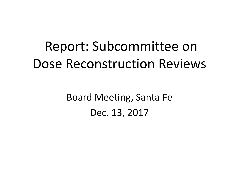# Report: Subcommittee on Dose Reconstruction Reviews

Board Meeting, Santa Fe Dec. 13, 2017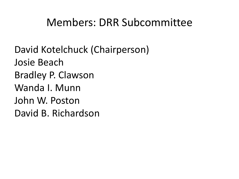### Members: DRR Subcommittee

David Kotelchuck (Chairperson) Josie Beach Bradley P. Clawson Wanda I. Munn John W. Poston David B. Richardson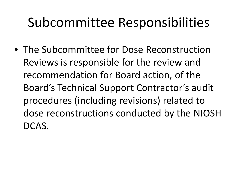# Subcommittee Responsibilities

• The Subcommittee for Dose Reconstruction Reviews is responsible for the review and recommendation for Board action, of the Board's Technical Support Contractor's audit procedures (including revisions) related to dose reconstructions conducted by the NIOSH DCAS.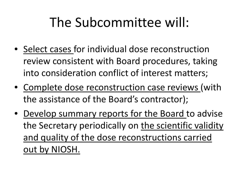# The Subcommittee will:

- Select cases for individual dose reconstruction review consistent with Board procedures, taking into consideration conflict of interest matters;
- Complete dose reconstruction case reviews (with the assistance of the Board's contractor);
- Develop summary reports for the Board to advise the Secretary periodically on the scientific validity and quality of the dose reconstructions carried out by NIOSH.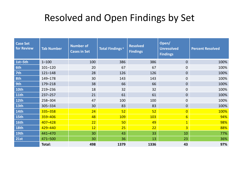### Resolved and Open Findings by Set

| <b>Case Set</b><br>for Review | <b>Tab Number</b> | <b>Number of</b><br><b>Cases in Set</b> | Total Findings <sup>a</sup> | <b>Resolved</b><br><b>Findings</b> | Open/<br><b>Unresolved</b><br><b>Findings</b> | <b>Percent Resolved</b> |
|-------------------------------|-------------------|-----------------------------------------|-----------------------------|------------------------------------|-----------------------------------------------|-------------------------|
| 1st-5th                       | $1 - 100$         | 100                                     | 386                         | 386                                | $\mathbf 0$                                   | 100%                    |
| 6th                           | $101 - 120$       | 20                                      | 67                          | 67                                 | 0                                             | 100%                    |
| 7th                           | $121 - 148$       | 28                                      | 126                         | 126                                | $\mathbf 0$                                   | 100%                    |
| 8th                           | 149-178           | 30                                      | 143                         | 143                                | 0                                             | 100%                    |
| 9th                           | 179-218           | 38                                      | 66                          | 66                                 | 0                                             | 100%                    |
| <b>10th</b>                   | 219-236           | 18                                      | 32                          | 32                                 | 0                                             | 100%                    |
| <b>11th</b>                   | $237 - 257$       | 21                                      | 61                          | 61                                 | 0                                             | 100%                    |
| 12th                          | 258-304           | 47                                      | 100                         | 100                                | 0                                             | 100%                    |
| 13th                          | 305-334           | 30                                      | 83                          | 83                                 | 0                                             | 100%                    |
| <b>14th</b>                   | 335-358           | 24                                      | 52                          | 52                                 | $\overline{0}$                                | 100%                    |
| 15th                          | 359-406           | 48                                      | 109                         | 103                                | $6 \overline{6}$                              | 94%                     |
| <b>16th</b>                   | 407-428           | 22                                      | 50                          | 49                                 | $\mathbf{1}$                                  | 98%                     |
| <b>18th</b>                   | 429-440           | 12                                      | 25                          | 22                                 | $\overline{3}$                                | 88%                     |
| 19th                          | 441-470           | 30                                      | 43                          | 33                                 | 10                                            | 77%                     |
| <b>21st</b>                   | 471-500           | 30                                      | 36                          | 13                                 | 23                                            | 36%                     |
|                               | Total:            | 498                                     | 1379                        | 1336                               | 43                                            | 97%                     |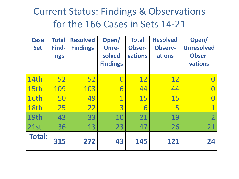### Current Status: Findings & Observations for the 166 Cases in Sets 14-21

| <b>Case</b><br><b>Set</b> | <b>Total</b><br>Find-<br><b>ings</b> | <b>Resolved</b><br><b>Findings</b> | Open/<br><b>Unre-</b><br>solved<br><b>Findings</b> | <b>Total</b><br><b>Obser-</b><br>vations | <b>Resolved</b><br><b>Observ-</b><br>ations | Open/<br><b>Unresolved</b><br><b>Obser-</b><br>vations |
|---------------------------|--------------------------------------|------------------------------------|----------------------------------------------------|------------------------------------------|---------------------------------------------|--------------------------------------------------------|
| <b>14th</b>               | 52                                   | 52                                 | $\Box$                                             | <b>12</b>                                | <u>12</u>                                   |                                                        |
| 15th                      | 109                                  | 103                                | 6                                                  | 44                                       | 44                                          |                                                        |
| 16th                      | 50                                   | 49                                 | $\overline{\mathbf{1}}$                            | 15                                       | 15                                          |                                                        |
| 18th                      | 25                                   | 22                                 | 3                                                  | 6                                        | 5                                           |                                                        |
| 19th                      | 43                                   | 33                                 | 10                                                 | 21                                       | 19                                          | $\overline{2}$                                         |
| 21st                      | 36                                   | 13                                 | 23                                                 | 47                                       | 26                                          | 21                                                     |
| <b>Total:</b>             | 315                                  | 272                                | 43                                                 | 145                                      | 121                                         | 24                                                     |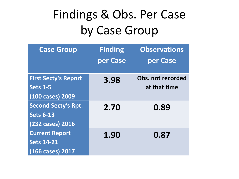## Findings & Obs. Per Case by Case Group

| <b>Case Group</b>           | <b>Finding</b><br>per Case | <b>Observations</b><br>per Case |
|-----------------------------|----------------------------|---------------------------------|
| <b>First Secty's Report</b> | 3.98                       | Obs. not recorded               |
| <b>Sets 1-5</b>             |                            | at that time                    |
| (100 cases) 2009            |                            |                                 |
| <b>Second Secty's Rpt.</b>  | 2.70                       | 0.89                            |
| <b>Sets 6-13</b>            |                            |                                 |
| (232 cases) 2016            |                            |                                 |
| <b>Current Report</b>       | 1.90                       | 0.87                            |
| <b>Sets 14-21</b>           |                            |                                 |
| (166 cases) 2017            |                            |                                 |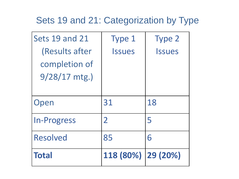#### Sets 19 and 21: Categorization by Type

| Sets 19 and 21     | Type 1         | <b>Type 2</b> |
|--------------------|----------------|---------------|
| (Results after     | <b>Issues</b>  | <b>Issues</b> |
| completion of      |                |               |
| $9/28/17$ mtg.)    |                |               |
|                    |                |               |
| Open               | 31             | 18            |
| <b>In-Progress</b> | $\overline{2}$ | 5             |
| <b>Resolved</b>    | 85             | 6             |
| <b>Total</b>       | 118 (80%)      | 29 (20%)      |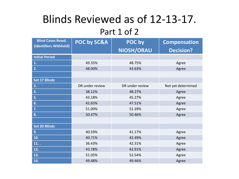### Blinds Reviewed as of 12-13-17.

#### Part 1 of 2

| <b>Blind Cases Rvwd.</b> | POC by SC&A     | POC by          | <b>Compensation</b> |
|--------------------------|-----------------|-----------------|---------------------|
| (Identifiers Withheld)   |                 | NIOSH/ORAU      | <b>Decision?</b>    |
| <b>Initial Period</b>    |                 |                 |                     |
| 1.                       | 49.35%          | 48.75%          | Agree               |
| 2.                       | 48.00%          | 43.63%          | Agree               |
|                          |                 |                 |                     |
| <b>Set 17 Blinds</b>     |                 |                 |                     |
| 3.                       | DR under review | DR under review | Not yet determined  |
| 4.                       | 38.12%          | 48.27%          | Agree               |
| 5.                       | 43.18%          | 45.27%          | Agree               |
| 6.                       | 42.65%          | 47.51%          | Agree               |
| 7.                       | 51.00%          | 51.39%          | Agree               |
| 8.                       | 50.47%          | 50.46%          | Agree               |
|                          |                 |                 |                     |
| <b>Set 20 Blinds</b>     |                 |                 |                     |
| 9.                       | 40.59%          | 41.17%          | Agree               |
| 10.                      | 40.71%          | 42.49%          | Agree               |
| 11.                      | 36.43%          | 42.31%          | Agree               |
| 12.                      | 43.78%          | 42.91%          | Agree               |
| 13.                      | 51.05%          | 52.54%          | Agree               |
| 14.                      | 49.48%          | 49.46%          | Agree               |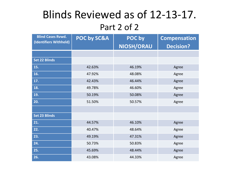### Blinds Reviewed as of 12-13-17. Part 2 of 2

| <b>Blind Cases Rvwd.</b><br>(Identifiers Withheld) | POC by SC&A | POC by<br>NIOSH/ORAU | <b>Compensation</b><br><b>Decision?</b> |
|----------------------------------------------------|-------------|----------------------|-----------------------------------------|
|                                                    |             |                      |                                         |
| <b>Set 22 Blinds</b>                               |             |                      |                                         |
| 15.                                                | 42.63%      | 46.19%               | Agree                                   |
| 16.                                                | 47.92%      | 48.08%               | Agree                                   |
| 17.                                                | 42.43%      | 46.44%               | Agree                                   |
| 18.                                                | 49.78%      | 46.60%               | Agree                                   |
| 19.                                                | 50.19%      | 50.08%               | Agree                                   |
| 20.                                                | 51.50%      | 50.57%               | Agree                                   |
|                                                    |             |                      |                                         |
| <b>Set 23 Blinds</b>                               |             |                      |                                         |
| 21.                                                | 44.57%      | 46.10%               | Agree                                   |
| 22.                                                | 40.47%      | 48.64%               | Agree                                   |
| 23.                                                | 49.19%      | 47.31%               | Agree                                   |
| 24.                                                | 50.73%      | 50.83%               | Agree                                   |
| 25.                                                | 45.69%      | 48.44%               | Agree                                   |
| 26.                                                | 43.08%      | 44.33%               | Agree                                   |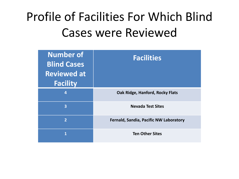## Profile of Facilities For Which Blind Cases were Reviewed

| <b>Number of</b><br><b>Blind Cases</b><br><b>Reviewed at</b><br><b>Facility</b> | <b>Facilities</b>                             |
|---------------------------------------------------------------------------------|-----------------------------------------------|
| $\overline{a}$                                                                  | Oak Ridge, Hanford, Rocky Flats               |
| 3                                                                               | <b>Nevada Test Sites</b>                      |
| $\overline{2}$                                                                  | <b>Fernald, Sandia, Pacific NW Laboratory</b> |
| 1                                                                               | <b>Ten Other Sites</b>                        |